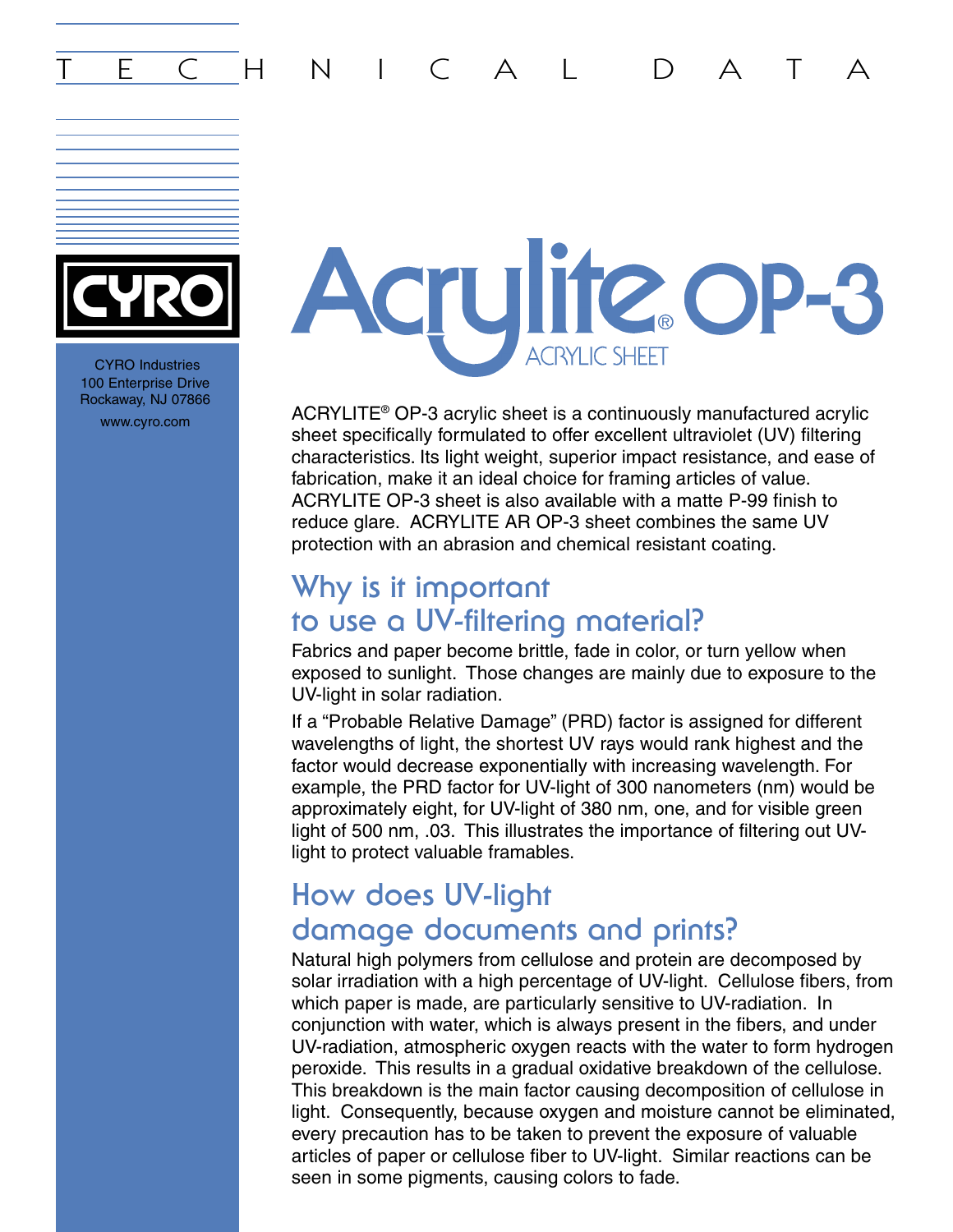## E C H N I C A L D A T



CYRO Industries 100 Enterprise Drive Rockaway, NJ 07866

# Acrylite op-8 **ACRYLIC SHEET**

www.cyro.com ACRYLITE® OP-3 acrylic sheet is a continuously manufactured acrylic sheet specifically formulated to offer excellent ultraviolet (UV) filtering characteristics. Its light weight, superior impact resistance, and ease of fabrication, make it an ideal choice for framing articles of value. ACRYLITE OP-3 sheet is also available with a matte P-99 finish to reduce glare. ACRYLITE AR OP-3 sheet combines the same UV protection with an abrasion and chemical resistant coating.

#### **Why is it important to use a UV-filtering material?**

Fabrics and paper become brittle, fade in color, or turn yellow when exposed to sunlight. Those changes are mainly due to exposure to the UV-light in solar radiation.

If a "Probable Relative Damage" (PRD) factor is assigned for different wavelengths of light, the shortest UV rays would rank highest and the factor would decrease exponentially with increasing wavelength. For example, the PRD factor for UV-light of 300 nanometers (nm) would be approximately eight, for UV-light of 380 nm, one, and for visible green light of 500 nm, .03. This illustrates the importance of filtering out UVlight to protect valuable framables.

#### **How does UV-light damage documents and prints?**

Natural high polymers from cellulose and protein are decomposed by solar irradiation with a high percentage of UV-light. Cellulose fibers, from which paper is made, are particularly sensitive to UV-radiation. In conjunction with water, which is always present in the fibers, and under UV-radiation, atmospheric oxygen reacts with the water to form hydrogen peroxide. This results in a gradual oxidative breakdown of the cellulose. This breakdown is the main factor causing decomposition of cellulose in light. Consequently, because oxygen and moisture cannot be eliminated, every precaution has to be taken to prevent the exposure of valuable articles of paper or cellulose fiber to UV-light. Similar reactions can be seen in some pigments, causing colors to fade.